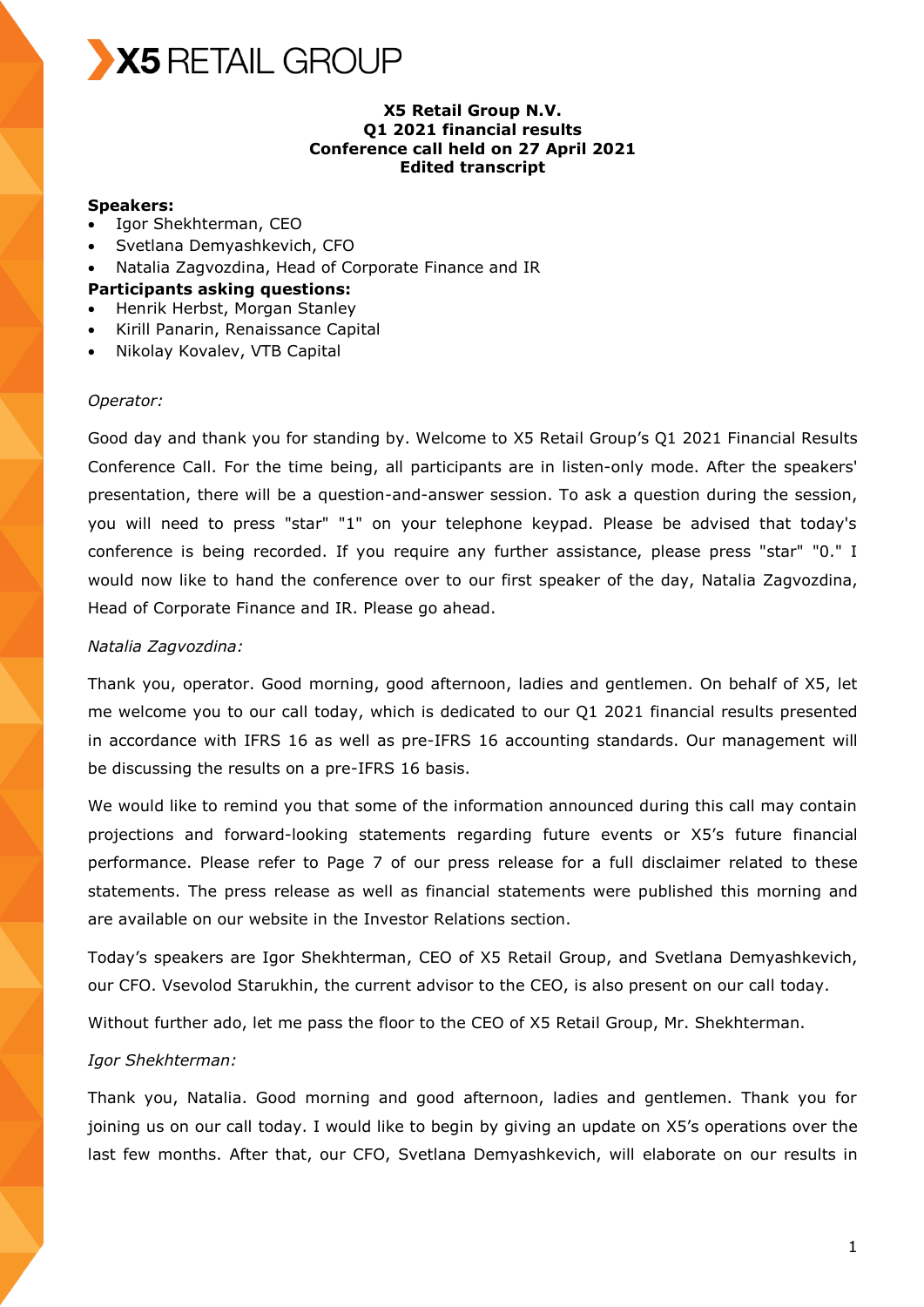

### **X5 Retail Group N.V. Q1 2021 financial results Conference call held on 27 April 2021 Edited transcript**

#### **Speakers:**

- Igor Shekhterman, CEO
- Svetlana Demyashkevich, CFO
- Natalia Zagvozdina, Head of Corporate Finance and IR

#### **Participants asking questions:**

- Henrik Herbst, Morgan Stanley
- Kirill Panarin, Renaissance Capital
- Nikolay Kovalev, VTB Capital

#### *Operator:*

Good day and thank you for standing by. Welcome to X5 Retail Group's Q1 2021 Financial Results Conference Call. For the time being, all participants are in listen-only mode. After the speakers' presentation, there will be a question-and-answer session. To ask a question during the session, you will need to press "star" "1" on your telephone keypad. Please be advised that today's conference is being recorded. If you require any further assistance, please press "star" "0." I would now like to hand the conference over to our first speaker of the day, Natalia Zagvozdina, Head of Corporate Finance and IR. Please go ahead.

#### *Natalia Zagvozdina:*

Thank you, operator. Good morning, good afternoon, ladies and gentlemen. On behalf of X5, let me welcome you to our call today, which is dedicated to our Q1 2021 financial results presented in accordance with IFRS 16 as well as pre-IFRS 16 accounting standards. Our management will be discussing the results on a pre-IFRS 16 basis.

We would like to remind you that some of the information announced during this call may contain projections and forward-looking statements regarding future events or X5's future financial performance. Please refer to Page 7 of our press release for a full disclaimer related to these statements. The press release as well as financial statements were published this morning and are available on our website in the Investor Relations section.

Today's speakers are Igor Shekhterman, CEO of X5 Retail Group, and Svetlana Demyashkevich, our CFO. Vsevolod Starukhin, the current advisor to the CEO, is also present on our call today.

Without further ado, let me pass the floor to the CEO of X5 Retail Group, Mr. Shekhterman.

### *Igor Shekhterman:*

Thank you, Natalia. Good morning and good afternoon, ladies and gentlemen. Thank you for joining us on our call today. I would like to begin by giving an update on X5's operations over the last few months. After that, our CFO, Svetlana Demyashkevich, will elaborate on our results in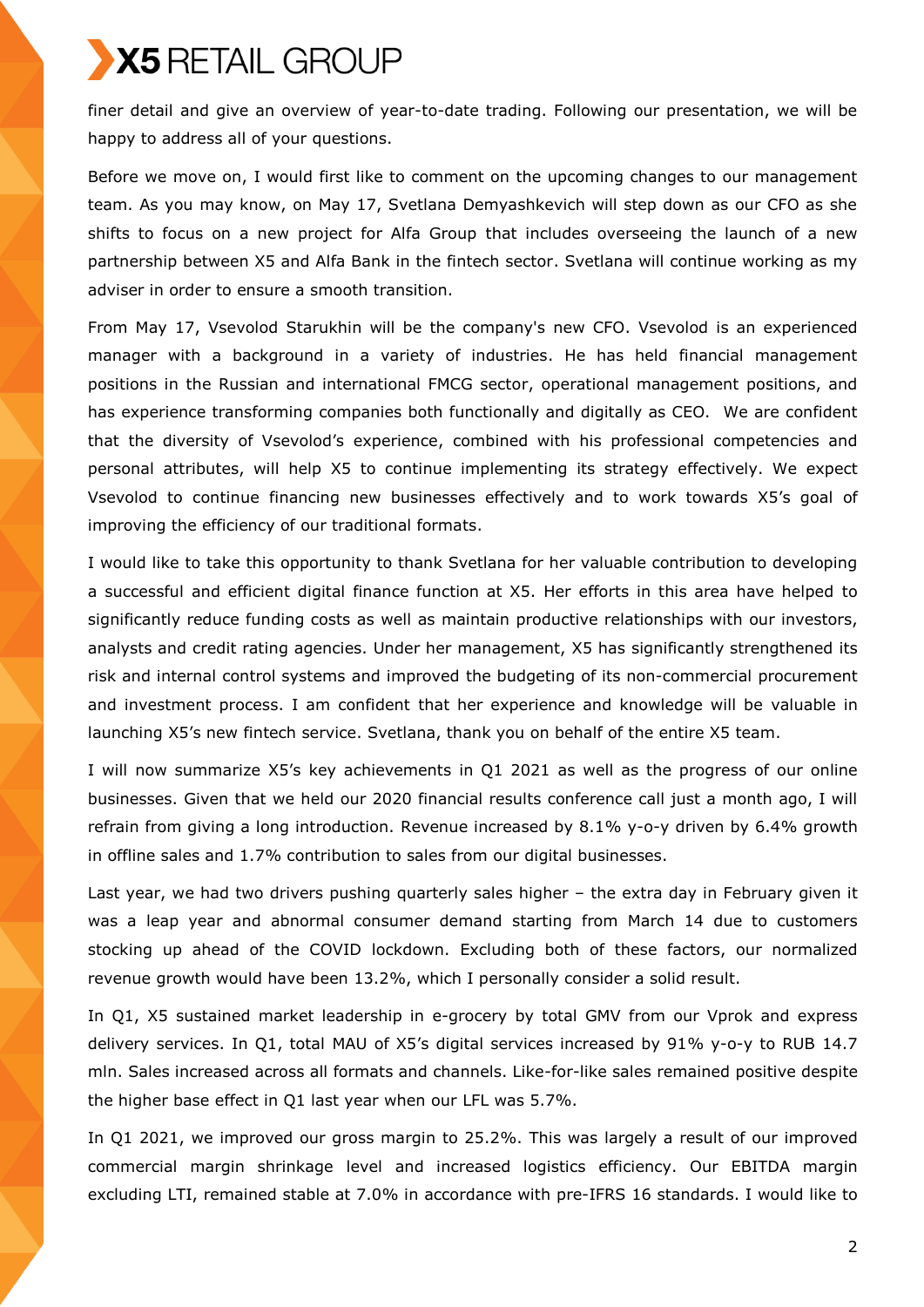finer detail and give an overview of year-to-date trading. Following our presentation, we will be happy to address all of your questions.

Before we move on, I would first like to comment on the upcoming changes to our management team. As you may know, on May 17, Svetlana Demyashkevich will step down as our CFO as she shifts to focus on a new project for Alfa Group that includes overseeing the launch of a new partnership between X5 and Alfa Bank in the fintech sector. Svetlana will continue working as my adviser in order to ensure a smooth transition.

From May 17, Vsevolod Starukhin will be the company's new CFO. Vsevolod is an experienced manager with a background in a variety of industries. He has held financial management positions in the Russian and international FMCG sector, operational management positions, and has experience transforming companies both functionally and digitally as CEO. We are confident that the diversity of Vsevolod's experience, combined with his professional competencies and personal attributes, will help X5 to continue implementing its strategy effectively. We expect Vsevolod to continue financing new businesses effectively and to work towards X5's goal of improving the efficiency of our traditional formats.

I would like to take this opportunity to thank Svetlana for her valuable contribution to developing a successful and efficient digital finance function at X5. Her efforts in this area have helped to significantly reduce funding costs as well as maintain productive relationships with our investors, analysts and credit rating agencies. Under her management, X5 has significantly strengthened its risk and internal control systems and improved the budgeting of its non-commercial procurement and investment process. I am confident that her experience and knowledge will be valuable in launching X5's new fintech service. Svetlana, thank you on behalf of the entire X5 team.

I will now summarize X5's key achievements in Q1 2021 as well as the progress of our online businesses. Given that we held our 2020 financial results conference call just a month ago, I will refrain from giving a long introduction. Revenue increased by 8.1% y-o-y driven by 6.4% growth in offline sales and 1.7% contribution to sales from our digital businesses.

Last year, we had two drivers pushing quarterly sales higher – the extra day in February given it was a leap year and abnormal consumer demand starting from March 14 due to customers stocking up ahead of the COVID lockdown. Excluding both of these factors, our normalized revenue growth would have been 13.2%, which I personally consider a solid result.

In Q1, X5 sustained market leadership in e-grocery by total GMV from our Vprok and express delivery services. In Q1, total MAU of X5's digital services increased by 91% y-o-y to RUB 14.7 mln. Sales increased across all formats and channels. Like-for-like sales remained positive despite the higher base effect in Q1 last year when our LFL was 5.7%.

In Q1 2021, we improved our gross margin to 25.2%. This was largely a result of our improved commercial margin shrinkage level and increased logistics efficiency. Our EBITDA margin excluding LTI, remained stable at 7.0% in accordance with pre-IFRS 16 standards. I would like to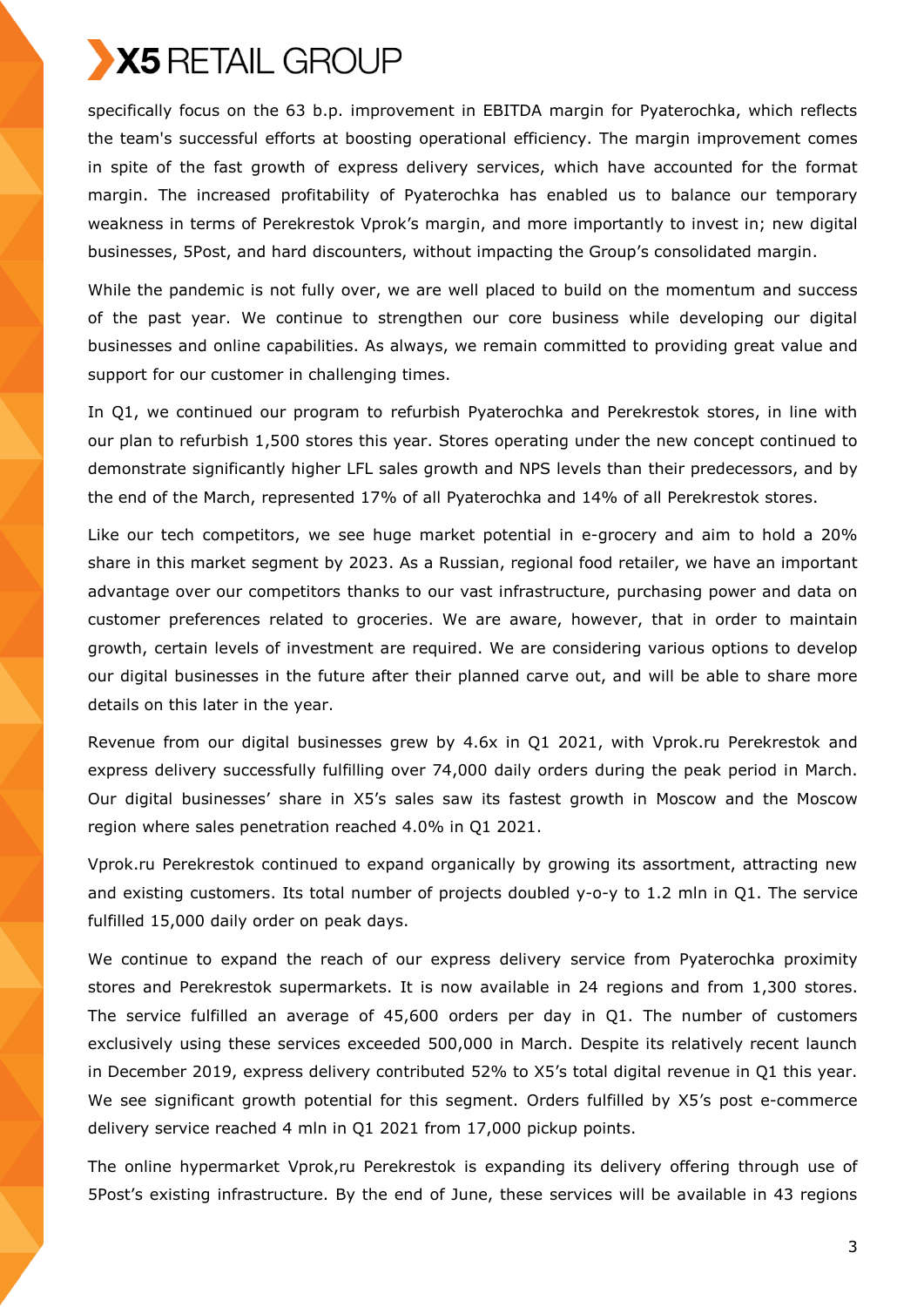

specifically focus on the 63 b.p. improvement in EBITDA margin for Pyaterochka, which reflects the team's successful efforts at boosting operational efficiency. The margin improvement comes in spite of the fast growth of express delivery services, which have accounted for the format margin. The increased profitability of Pyaterochka has enabled us to balance our temporary weakness in terms of Perekrestok Vprok's margin, and more importantly to invest in; new digital businesses, 5Post, and hard discounters, without impacting the Group's consolidated margin.

While the pandemic is not fully over, we are well placed to build on the momentum and success of the past year. We continue to strengthen our core business while developing our digital businesses and online capabilities. As always, we remain committed to providing great value and support for our customer in challenging times.

In Q1, we continued our program to refurbish Pyaterochka and Perekrestok stores, in line with our plan to refurbish 1,500 stores this year. Stores operating under the new concept continued to demonstrate significantly higher LFL sales growth and NPS levels than their predecessors, and by the end of the March, represented 17% of all Pyaterochka and 14% of all Perekrestok stores.

Like our tech competitors, we see huge market potential in e-grocery and aim to hold a 20% share in this market segment by 2023. As a Russian, regional food retailer, we have an important advantage over our competitors thanks to our vast infrastructure, purchasing power and data on customer preferences related to groceries. We are aware, however, that in order to maintain growth, certain levels of investment are required. We are considering various options to develop our digital businesses in the future after their planned carve out, and will be able to share more details on this later in the year.

Revenue from our digital businesses grew by 4.6x in Q1 2021, with Vprok.ru Perekrestok and express delivery successfully fulfilling over 74,000 daily orders during the peak period in March. Our digital businesses' share in X5's sales saw its fastest growth in Moscow and the Moscow region where sales penetration reached 4.0% in Q1 2021.

Vprok.ru Perekrestok continued to expand organically by growing its assortment, attracting new and existing customers. Its total number of projects doubled y-o-y to 1.2 mln in Q1. The service fulfilled 15,000 daily order on peak days.

We continue to expand the reach of our express delivery service from Pyaterochka proximity stores and Perekrestok supermarkets. It is now available in 24 regions and from 1,300 stores. The service fulfilled an average of 45,600 orders per day in Q1. The number of customers exclusively using these services exceeded 500,000 in March. Despite its relatively recent launch in December 2019, express delivery contributed 52% to X5's total digital revenue in Q1 this year. We see significant growth potential for this segment. Orders fulfilled by X5's post e-commerce delivery service reached 4 mln in Q1 2021 from 17,000 pickup points.

The online hypermarket Vprok,ru Perekrestok is expanding its delivery offering through use of 5Post's existing infrastructure. By the end of June, these services will be available in 43 regions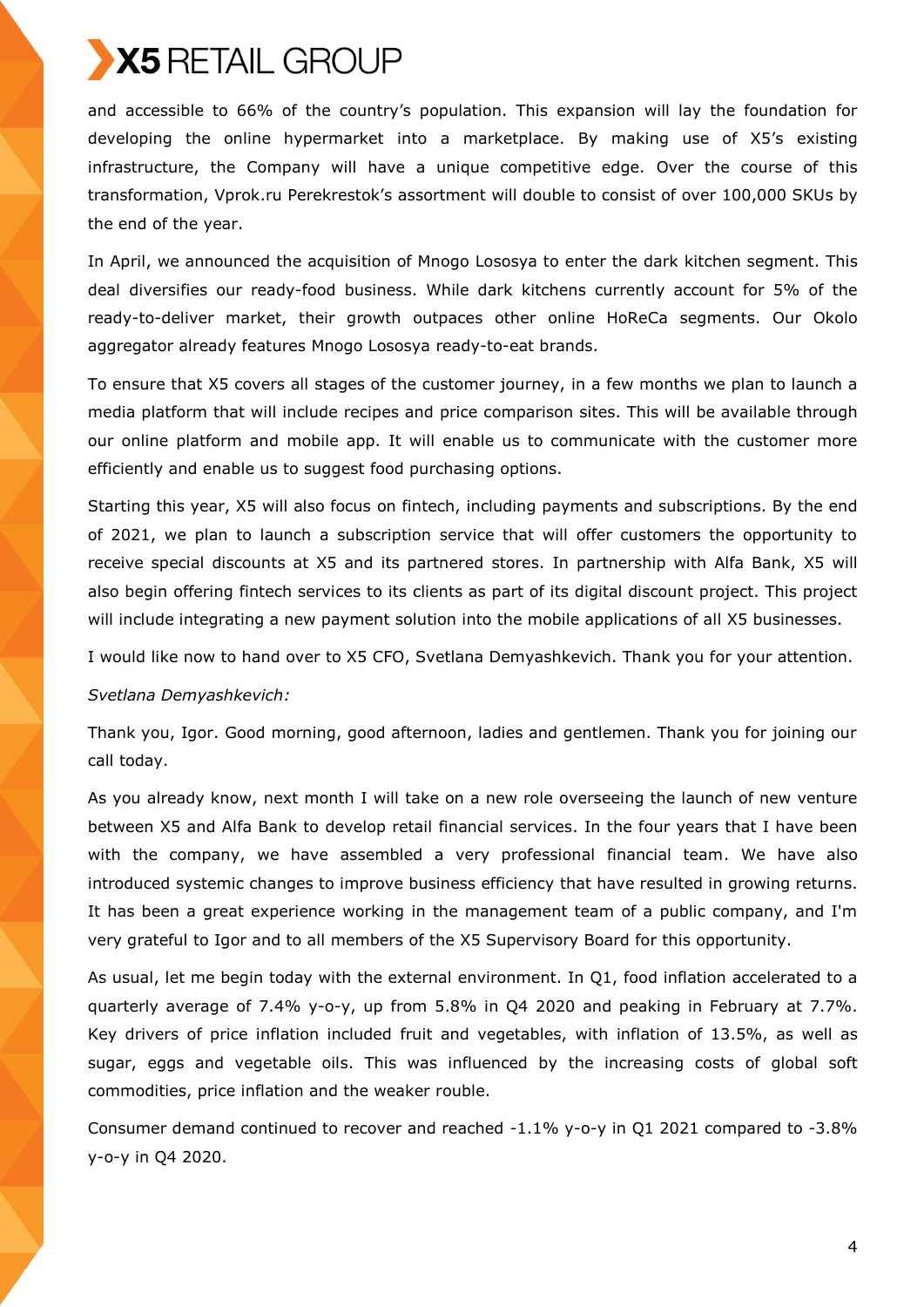and accessible to 66% of the country's population. This expansion will lay the foundation for developing the online hypermarket into a marketplace. By making use of X5's existing infrastructure, the Company will have a unique competitive edge. Over the course of this transformation, Vprok.ru Perekrestok's assortment will double to consist of over 100,000 SKUs by the end of the year.

In April, we announced the acquisition of Mnogo Lososya to enter the dark kitchen segment. This deal diversifies our ready-food business. While dark kitchens currently account for 5% of the ready-to-deliver market, their growth outpaces other online HoReCa segments. Our Okolo aggregator already features Mnogo Lososya ready-to-eat brands.

To ensure that X5 covers all stages of the customer journey, in a few months we plan to launch a media platform that will include recipes and price comparison sites. This will be available through our online platform and mobile app. It will enable us to communicate with the customer more efficiently and enable us to suggest food purchasing options.

Starting this year, X5 will also focus on fintech, including payments and subscriptions. By the end of 2021, we plan to launch a subscription service that will offer customers the opportunity to receive special discounts at X5 and its partnered stores. In partnership with Alfa Bank, X5 will also begin offering fintech services to its clients as part of its digital discount project. This project will include integrating a new payment solution into the mobile applications of all X5 businesses.

I would like now to hand over to X5 CFO, Svetlana Demyashkevich. Thank you for your attention.

### *Svetlana Demyashkevich:*

Thank you, Igor. Good morning, good afternoon, ladies and gentlemen. Thank you for joining our call today.

As you already know, next month I will take on a new role overseeing the launch of new venture between X5 and Alfa Bank to develop retail financial services. In the four years that I have been with the company, we have assembled a very professional financial team. We have also introduced systemic changes to improve business efficiency that have resulted in growing returns. It has been a great experience working in the management team of a public company, and I'm very grateful to Igor and to all members of the X5 Supervisory Board for this opportunity.

As usual, let me begin today with the external environment. In Q1, food inflation accelerated to a quarterly average of 7.4% y-o-y, up from 5.8% in Q4 2020 and peaking in February at 7.7%. Key drivers of price inflation included fruit and vegetables, with inflation of 13.5%, as well as sugar, eggs and vegetable oils. This was influenced by the increasing costs of global soft commodities, price inflation and the weaker rouble.

Consumer demand continued to recover and reached -1.1% y-o-y in Q1 2021 compared to -3.8% y-o-y in Q4 2020.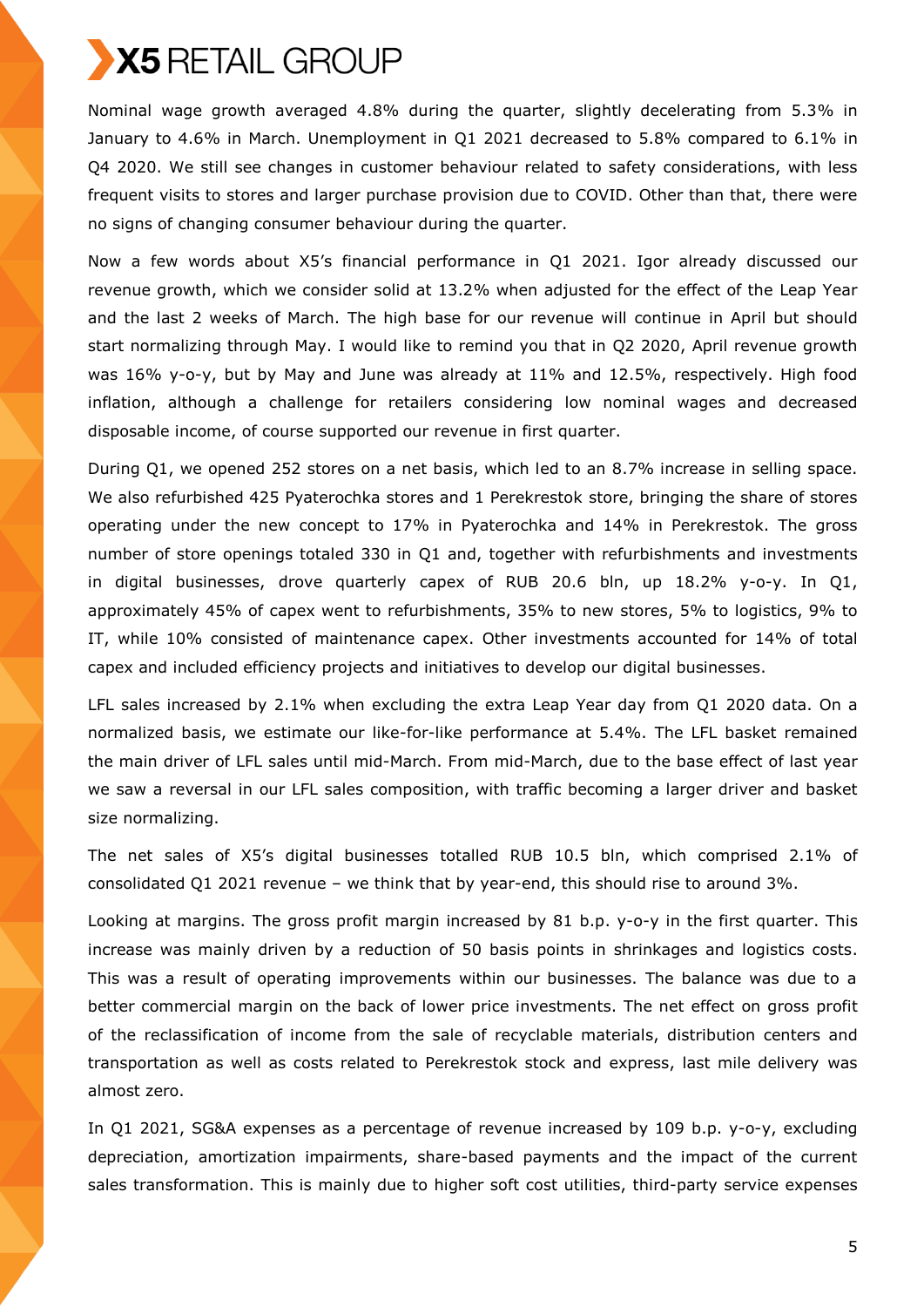

Nominal wage growth averaged 4.8% during the quarter, slightly decelerating from 5.3% in January to 4.6% in March. Unemployment in Q1 2021 decreased to 5.8% compared to 6.1% in Q4 2020. We still see changes in customer behaviour related to safety considerations, with less frequent visits to stores and larger purchase provision due to COVID. Other than that, there were no signs of changing consumer behaviour during the quarter.

Now a few words about X5's financial performance in Q1 2021. Igor already discussed our revenue growth, which we consider solid at 13.2% when adjusted for the effect of the Leap Year and the last 2 weeks of March. The high base for our revenue will continue in April but should start normalizing through May. I would like to remind you that in Q2 2020, April revenue growth was 16% y-o-y, but by May and June was already at 11% and 12.5%, respectively. High food inflation, although a challenge for retailers considering low nominal wages and decreased disposable income, of course supported our revenue in first quarter.

During Q1, we opened 252 stores on a net basis, which led to an 8.7% increase in selling space. We also refurbished 425 Pyaterochka stores and 1 Perekrestok store, bringing the share of stores operating under the new concept to 17% in Pyaterochka and 14% in Perekrestok. The gross number of store openings totaled 330 in Q1 and, together with refurbishments and investments in digital businesses, drove quarterly capex of RUB 20.6 bln, up 18.2% y-o-y. In Q1, approximately 45% of capex went to refurbishments, 35% to new stores, 5% to logistics, 9% to IT, while 10% consisted of maintenance capex. Other investments accounted for 14% of total capex and included efficiency projects and initiatives to develop our digital businesses.

LFL sales increased by 2.1% when excluding the extra Leap Year day from Q1 2020 data. On a normalized basis, we estimate our like-for-like performance at 5.4%. The LFL basket remained the main driver of LFL sales until mid-March. From mid-March, due to the base effect of last year we saw a reversal in our LFL sales composition, with traffic becoming a larger driver and basket size normalizing.

The net sales of X5's digital businesses totalled RUB 10.5 bln, which comprised 2.1% of consolidated Q1 2021 revenue – we think that by year-end, this should rise to around 3%.

Looking at margins. The gross profit margin increased by 81 b.p. y-o-y in the first quarter. This increase was mainly driven by a reduction of 50 basis points in shrinkages and logistics costs. This was a result of operating improvements within our businesses. The balance was due to a better commercial margin on the back of lower price investments. The net effect on gross profit of the reclassification of income from the sale of recyclable materials, distribution centers and transportation as well as costs related to Perekrestok stock and express, last mile delivery was almost zero.

In Q1 2021, SG&A expenses as a percentage of revenue increased by 109 b.p. y-o-y, excluding depreciation, amortization impairments, share-based payments and the impact of the current sales transformation. This is mainly due to higher soft cost utilities, third-party service expenses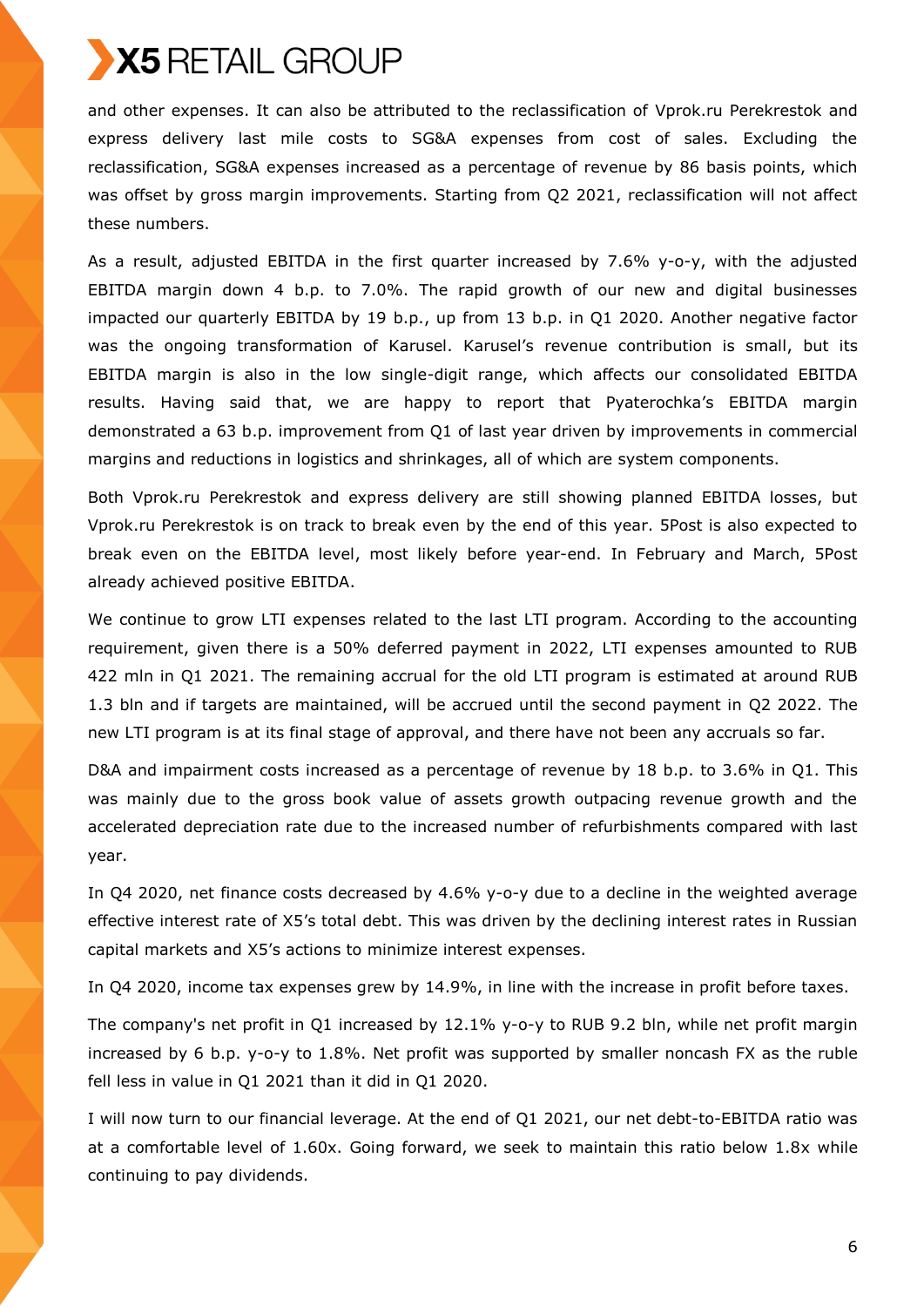and other expenses. It can also be attributed to the reclassification of Vprok.ru Perekrestok and express delivery last mile costs to SG&A expenses from cost of sales. Excluding the reclassification, SG&A expenses increased as a percentage of revenue by 86 basis points, which was offset by gross margin improvements. Starting from Q2 2021, reclassification will not affect these numbers.

As a result, adjusted EBITDA in the first quarter increased by 7.6% y-o-y, with the adjusted EBITDA margin down 4 b.p. to 7.0%. The rapid growth of our new and digital businesses impacted our quarterly EBITDA by 19 b.p., up from 13 b.p. in Q1 2020. Another negative factor was the ongoing transformation of Karusel. Karusel's revenue contribution is small, but its EBITDA margin is also in the low single-digit range, which affects our consolidated EBITDA results. Having said that, we are happy to report that Pyaterochka's EBITDA margin demonstrated a 63 b.p. improvement from Q1 of last year driven by improvements in commercial margins and reductions in logistics and shrinkages, all of which are system components.

Both Vprok.ru Perekrestok and express delivery are still showing planned EBITDA losses, but Vprok.ru Perekrestok is on track to break even by the end of this year. 5Post is also expected to break even on the EBITDA level, most likely before year-end. In February and March, 5Post already achieved positive EBITDA.

We continue to grow LTI expenses related to the last LTI program. According to the accounting requirement, given there is a 50% deferred payment in 2022, LTI expenses amounted to RUB 422 mln in Q1 2021. The remaining accrual for the old LTI program is estimated at around RUB 1.3 bln and if targets are maintained, will be accrued until the second payment in Q2 2022. The new LTI program is at its final stage of approval, and there have not been any accruals so far.

D&A and impairment costs increased as a percentage of revenue by 18 b.p. to 3.6% in Q1. This was mainly due to the gross book value of assets growth outpacing revenue growth and the accelerated depreciation rate due to the increased number of refurbishments compared with last year.

In Q4 2020, net finance costs decreased by 4.6% y-o-y due to a decline in the weighted average effective interest rate of X5's total debt. This was driven by the declining interest rates in Russian capital markets and X5's actions to minimize interest expenses.

In Q4 2020, income tax expenses grew by 14.9%, in line with the increase in profit before taxes.

The company's net profit in Q1 increased by 12.1% y-o-y to RUB 9.2 bln, while net profit margin increased by 6 b.p. y-o-y to 1.8%. Net profit was supported by smaller noncash FX as the ruble fell less in value in Q1 2021 than it did in Q1 2020.

I will now turn to our financial leverage. At the end of Q1 2021, our net debt-to-EBITDA ratio was at a comfortable level of 1.60x. Going forward, we seek to maintain this ratio below 1.8x while continuing to pay dividends.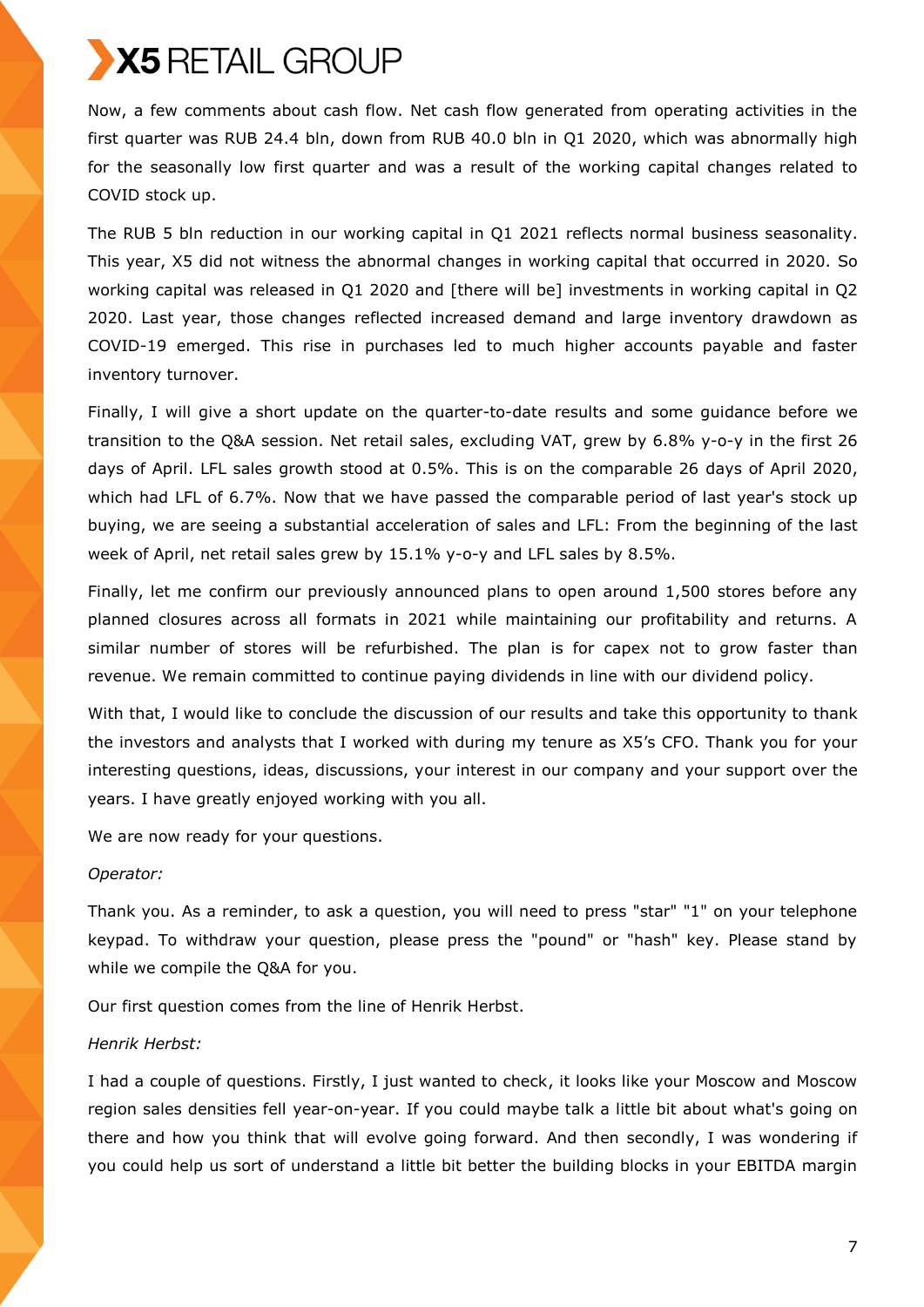Now, a few comments about cash flow. Net cash flow generated from operating activities in the first quarter was RUB 24.4 bln, down from RUB 40.0 bln in Q1 2020, which was abnormally high for the seasonally low first quarter and was a result of the working capital changes related to COVID stock up.

The RUB 5 bln reduction in our working capital in Q1 2021 reflects normal business seasonality. This year, X5 did not witness the abnormal changes in working capital that occurred in 2020. So working capital was released in Q1 2020 and [there will be] investments in working capital in Q2 2020. Last year, those changes reflected increased demand and large inventory drawdown as COVID-19 emerged. This rise in purchases led to much higher accounts payable and faster inventory turnover.

Finally, I will give a short update on the quarter-to-date results and some guidance before we transition to the Q&A session. Net retail sales, excluding VAT, grew by 6.8% y-o-y in the first 26 days of April. LFL sales growth stood at 0.5%. This is on the comparable 26 days of April 2020, which had LFL of 6.7%. Now that we have passed the comparable period of last year's stock up buying, we are seeing a substantial acceleration of sales and LFL: From the beginning of the last week of April, net retail sales grew by 15.1% y-o-y and LFL sales by 8.5%.

Finally, let me confirm our previously announced plans to open around 1,500 stores before any planned closures across all formats in 2021 while maintaining our profitability and returns. A similar number of stores will be refurbished. The plan is for capex not to grow faster than revenue. We remain committed to continue paying dividends in line with our dividend policy.

With that, I would like to conclude the discussion of our results and take this opportunity to thank the investors and analysts that I worked with during my tenure as X5's CFO. Thank you for your interesting questions, ideas, discussions, your interest in our company and your support over the years. I have greatly enjoyed working with you all.

We are now ready for your questions.

### *Operator:*

Thank you. As a reminder, to ask a question, you will need to press "star" "1" on your telephone keypad. To withdraw your question, please press the "pound" or "hash" key. Please stand by while we compile the Q&A for you.

Our first question comes from the line of Henrik Herbst.

#### *Henrik Herbst:*

I had a couple of questions. Firstly, I just wanted to check, it looks like your Moscow and Moscow region sales densities fell year-on-year. If you could maybe talk a little bit about what's going on there and how you think that will evolve going forward. And then secondly, I was wondering if you could help us sort of understand a little bit better the building blocks in your EBITDA margin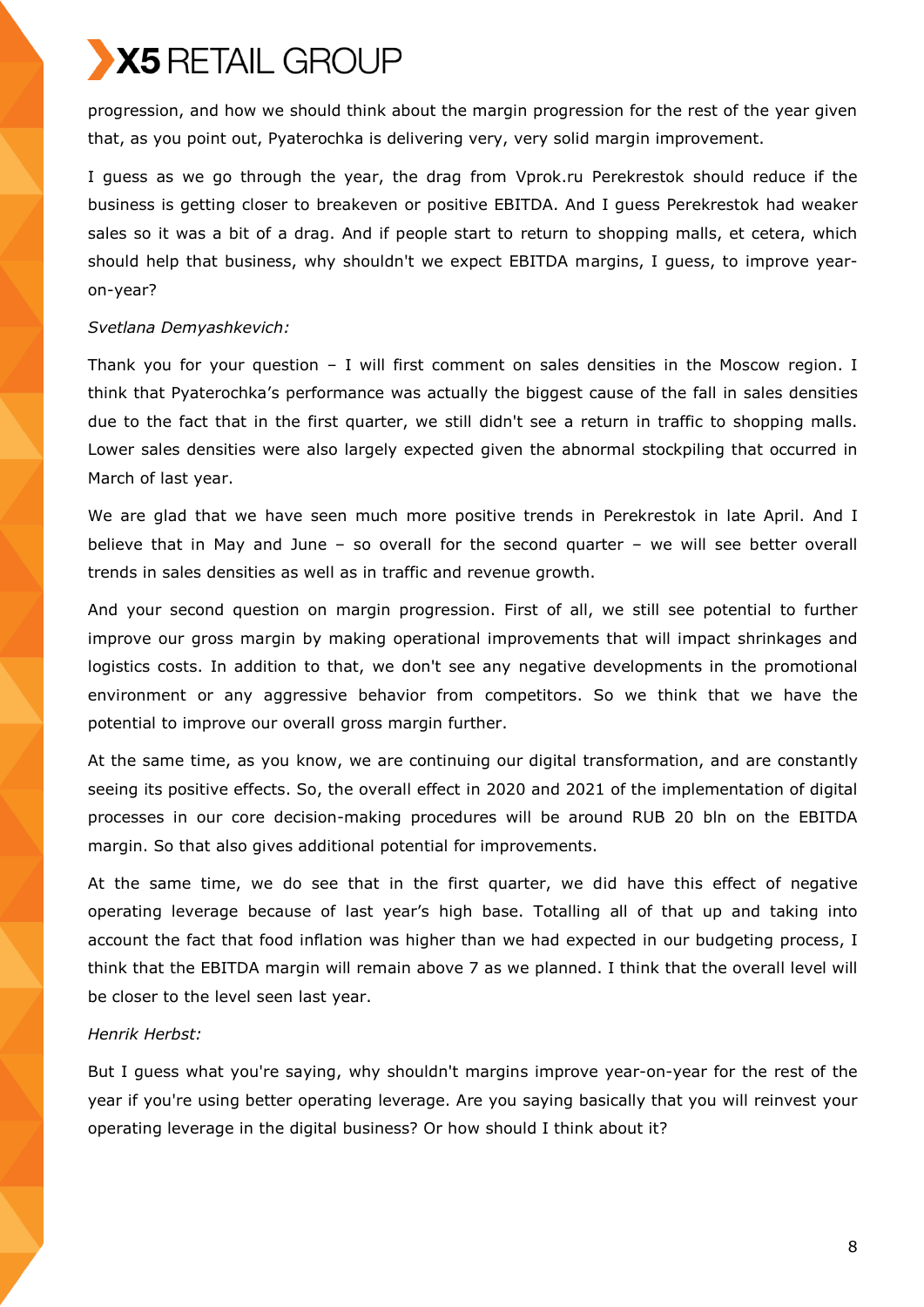progression, and how we should think about the margin progression for the rest of the year given that, as you point out, Pyaterochka is delivering very, very solid margin improvement.

I guess as we go through the year, the drag from Vprok.ru Perekrestok should reduce if the business is getting closer to breakeven or positive EBITDA. And I guess Perekrestok had weaker sales so it was a bit of a drag. And if people start to return to shopping malls, et cetera, which should help that business, why shouldn't we expect EBITDA margins, I guess, to improve yearon-year?

### *Svetlana Demyashkevich:*

Thank you for your question – I will first comment on sales densities in the Moscow region. I think that Pyaterochka's performance was actually the biggest cause of the fall in sales densities due to the fact that in the first quarter, we still didn't see a return in traffic to shopping malls. Lower sales densities were also largely expected given the abnormal stockpiling that occurred in March of last year.

We are glad that we have seen much more positive trends in Perekrestok in late April. And I believe that in May and June – so overall for the second quarter – we will see better overall trends in sales densities as well as in traffic and revenue growth.

And your second question on margin progression. First of all, we still see potential to further improve our gross margin by making operational improvements that will impact shrinkages and logistics costs. In addition to that, we don't see any negative developments in the promotional environment or any aggressive behavior from competitors. So we think that we have the potential to improve our overall gross margin further.

At the same time, as you know, we are continuing our digital transformation, and are constantly seeing its positive effects. So, the overall effect in 2020 and 2021 of the implementation of digital processes in our core decision-making procedures will be around RUB 20 bln on the EBITDA margin. So that also gives additional potential for improvements.

At the same time, we do see that in the first quarter, we did have this effect of negative operating leverage because of last year's high base. Totalling all of that up and taking into account the fact that food inflation was higher than we had expected in our budgeting process, I think that the EBITDA margin will remain above 7 as we planned. I think that the overall level will be closer to the level seen last year.

## *Henrik Herbst:*

But I guess what you're saying, why shouldn't margins improve year-on-year for the rest of the year if you're using better operating leverage. Are you saying basically that you will reinvest your operating leverage in the digital business? Or how should I think about it?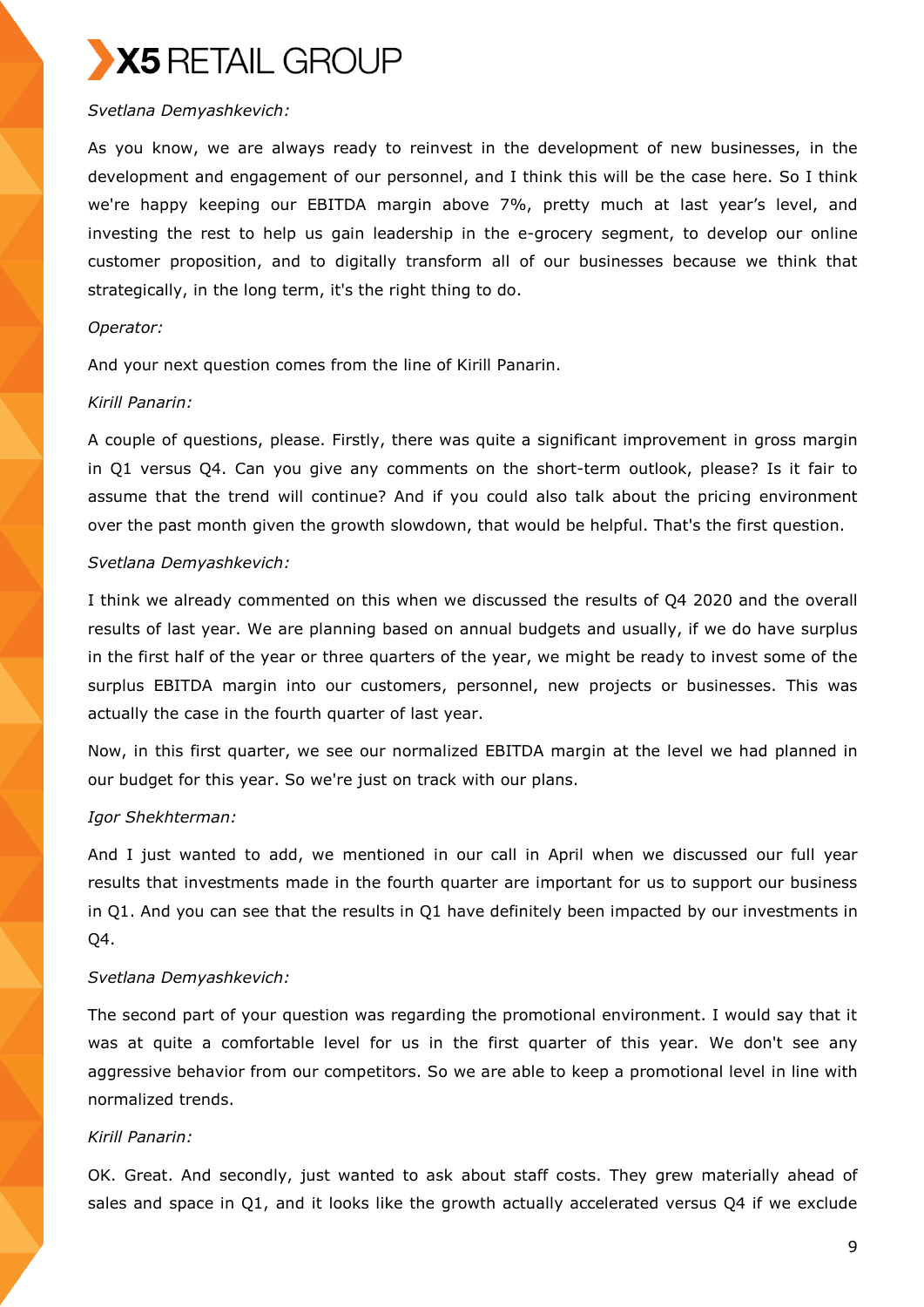## *Svetlana Demyashkevich:*

As you know, we are always ready to reinvest in the development of new businesses, in the development and engagement of our personnel, and I think this will be the case here. So I think we're happy keeping our EBITDA margin above 7%, pretty much at last year's level, and investing the rest to help us gain leadership in the e-grocery segment, to develop our online customer proposition, and to digitally transform all of our businesses because we think that strategically, in the long term, it's the right thing to do.

### *Operator:*

And your next question comes from the line of Kirill Panarin.

## *Kirill Panarin:*

A couple of questions, please. Firstly, there was quite a significant improvement in gross margin in Q1 versus Q4. Can you give any comments on the short-term outlook, please? Is it fair to assume that the trend will continue? And if you could also talk about the pricing environment over the past month given the growth slowdown, that would be helpful. That's the first question.

## *Svetlana Demyashkevich:*

I think we already commented on this when we discussed the results of Q4 2020 and the overall results of last year. We are planning based on annual budgets and usually, if we do have surplus in the first half of the year or three quarters of the year, we might be ready to invest some of the surplus EBITDA margin into our customers, personnel, new projects or businesses. This was actually the case in the fourth quarter of last year.

Now, in this first quarter, we see our normalized EBITDA margin at the level we had planned in our budget for this year. So we're just on track with our plans.

## *Igor Shekhterman:*

And I just wanted to add, we mentioned in our call in April when we discussed our full year results that investments made in the fourth quarter are important for us to support our business in Q1. And you can see that the results in Q1 have definitely been impacted by our investments in Q4.

## *Svetlana Demyashkevich:*

The second part of your question was regarding the promotional environment. I would say that it was at quite a comfortable level for us in the first quarter of this year. We don't see any aggressive behavior from our competitors. So we are able to keep a promotional level in line with normalized trends.

## *Kirill Panarin:*

OK. Great. And secondly, just wanted to ask about staff costs. They grew materially ahead of sales and space in Q1, and it looks like the growth actually accelerated versus Q4 if we exclude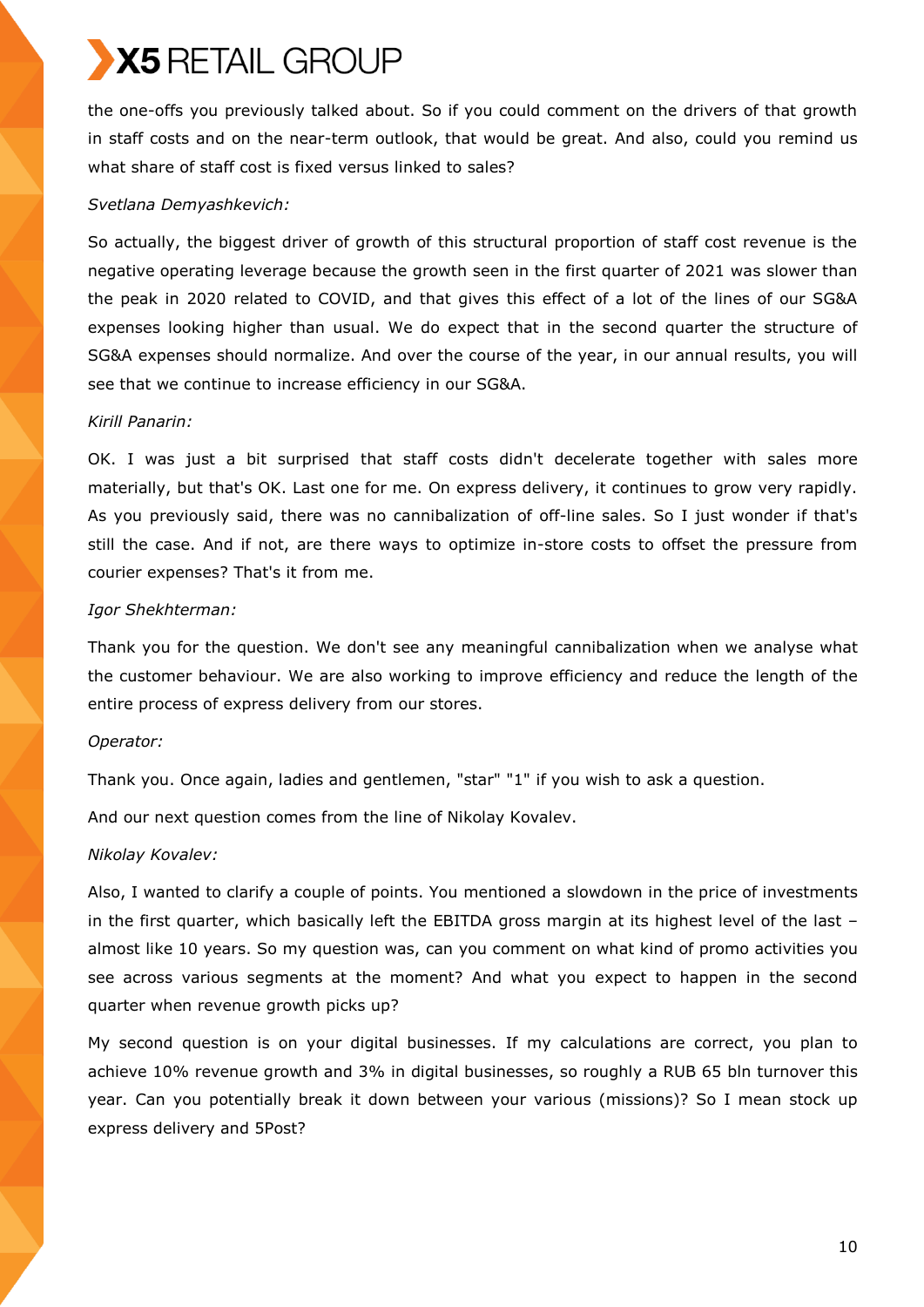the one-offs you previously talked about. So if you could comment on the drivers of that growth in staff costs and on the near-term outlook, that would be great. And also, could you remind us what share of staff cost is fixed versus linked to sales?

### *Svetlana Demyashkevich:*

So actually, the biggest driver of growth of this structural proportion of staff cost revenue is the negative operating leverage because the growth seen in the first quarter of 2021 was slower than the peak in 2020 related to COVID, and that gives this effect of a lot of the lines of our SG&A expenses looking higher than usual. We do expect that in the second quarter the structure of SG&A expenses should normalize. And over the course of the year, in our annual results, you will see that we continue to increase efficiency in our SG&A.

### *Kirill Panarin:*

OK. I was just a bit surprised that staff costs didn't decelerate together with sales more materially, but that's OK. Last one for me. On express delivery, it continues to grow very rapidly. As you previously said, there was no cannibalization of off-line sales. So I just wonder if that's still the case. And if not, are there ways to optimize in-store costs to offset the pressure from courier expenses? That's it from me.

## *Igor Shekhterman:*

Thank you for the question. We don't see any meaningful cannibalization when we analyse what the customer behaviour. We are also working to improve efficiency and reduce the length of the entire process of express delivery from our stores.

### *Operator:*

Thank you. Once again, ladies and gentlemen, "star" "1" if you wish to ask a question.

And our next question comes from the line of Nikolay Kovalev.

## *Nikolay Kovalev:*

Also, I wanted to clarify a couple of points. You mentioned a slowdown in the price of investments in the first quarter, which basically left the EBITDA gross margin at its highest level of the last – almost like 10 years. So my question was, can you comment on what kind of promo activities you see across various segments at the moment? And what you expect to happen in the second quarter when revenue growth picks up?

My second question is on your digital businesses. If my calculations are correct, you plan to achieve 10% revenue growth and 3% in digital businesses, so roughly a RUB 65 bln turnover this year. Can you potentially break it down between your various (missions)? So I mean stock up express delivery and 5Post?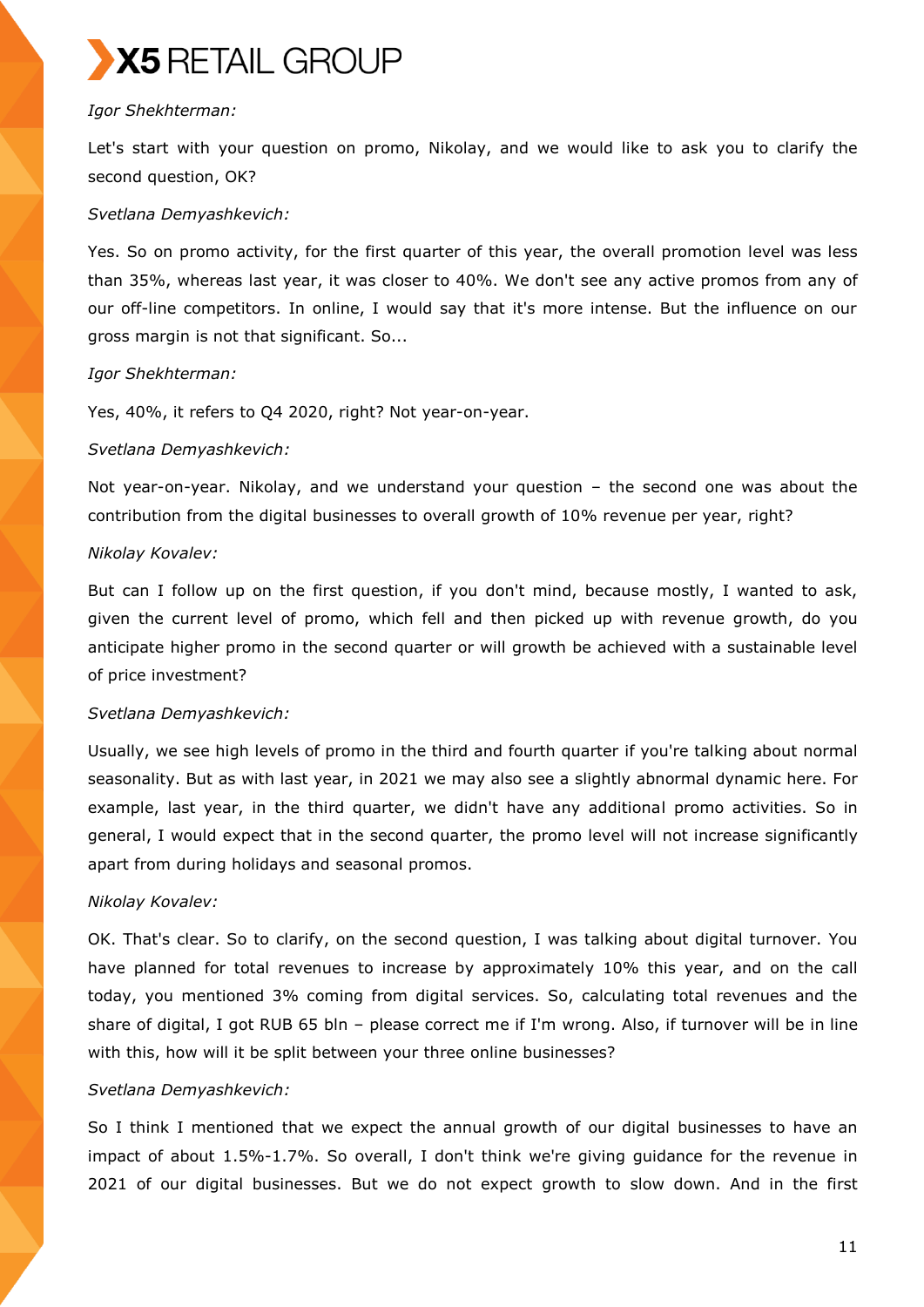

## *Igor Shekhterman:*

Let's start with your question on promo, Nikolay, and we would like to ask you to clarify the second question, OK?

### *Svetlana Demyashkevich:*

Yes. So on promo activity, for the first quarter of this year, the overall promotion level was less than 35%, whereas last year, it was closer to 40%. We don't see any active promos from any of our off-line competitors. In online, I would say that it's more intense. But the influence on our gross margin is not that significant. So...

## *Igor Shekhterman:*

Yes, 40%, it refers to Q4 2020, right? Not year-on-year.

### *Svetlana Demyashkevich:*

Not year-on-year. Nikolay, and we understand your question – the second one was about the contribution from the digital businesses to overall growth of 10% revenue per year, right?

## *Nikolay Kovalev:*

But can I follow up on the first question, if you don't mind, because mostly, I wanted to ask, given the current level of promo, which fell and then picked up with revenue growth, do you anticipate higher promo in the second quarter or will growth be achieved with a sustainable level of price investment?

### *Svetlana Demyashkevich:*

Usually, we see high levels of promo in the third and fourth quarter if you're talking about normal seasonality. But as with last year, in 2021 we may also see a slightly abnormal dynamic here. For example, last year, in the third quarter, we didn't have any additional promo activities. So in general, I would expect that in the second quarter, the promo level will not increase significantly apart from during holidays and seasonal promos.

## *Nikolay Kovalev:*

OK. That's clear. So to clarify, on the second question, I was talking about digital turnover. You have planned for total revenues to increase by approximately 10% this year, and on the call today, you mentioned 3% coming from digital services. So, calculating total revenues and the share of digital, I got RUB 65 bln – please correct me if I'm wrong. Also, if turnover will be in line with this, how will it be split between your three online businesses?

### *Svetlana Demyashkevich:*

So I think I mentioned that we expect the annual growth of our digital businesses to have an impact of about 1.5%-1.7%. So overall, I don't think we're giving guidance for the revenue in 2021 of our digital businesses. But we do not expect growth to slow down. And in the first